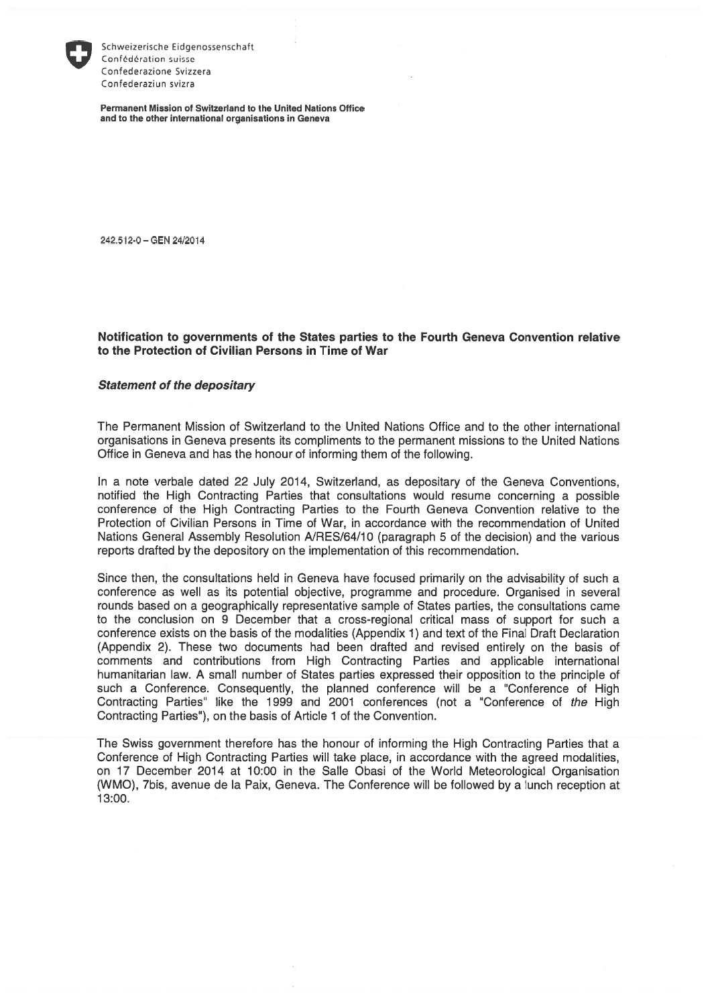

Schweizerische Eidgenossenschaft Confédération suisse Confederazione Svizzera Confederaziun svizra

Permanent Mission of Switzerland to the United Nations Office and to the other international organisations in Geneva

242.512-0 — GEN 24/2014

## Notification to governments of the States parties to the Fourth Geneva Convention relative to the Protection of Civilian Persons in Time of War

## Statement of the depositary

The Permanent Mission of Switzerland to the United Nations Office and to the other international organisations in Geneva presents its compliments to the permanent missions to the United Nations Office in Geneva and has the honour of informing them of the following.

In a note verbale dated 22 July 2014, Switzerland, as depositary cf the Geneva Conventions, notified the High Contracting Parties that consultations would resume concerning a possible conference of the High Contracting Parties to the Fourth Geneva Convention relative to the Protection of Civilian Persons in Time of War, in accordance with the recommendation cf United Nations General Assembly Resolution A/RES/64/10 (paragraph 5 of the decision) and the various reports drafted by the depository on the implementation of this recommendation.

Since then, the consultations held in Geneva have focused primarily on the advisability of such a conference as well as its potential objective, programme and procedure. Organised in several rounds based on a geographically representative sample cf States parties, the consultations came to the conclusion on 9 December that a cross-regional critical mass cf support for such a conference exists on the basis cf the modalities (Appendix 1) and text of the Final Draft Declaration (Appendix 2). These two documents had been drafted and revised entirely on the basis cf comments and contributions from High Contracting Parties and applicable international humanitarian law. A small number of States parties expressed their opposition to the principle cf such a Conference. Consequently, the planned conference will be a "Conference of High Contracting Parties" like the 1999 and 2001 conferences (not a "Conference of the High Contracting Parties"), on the basis of Article <sup>1</sup> of the Convention.

The Swiss government therefore has the honour cf informing the High Contracting Parties that a Conference of High Contracting Parties will take place, in accordance with the agreed modalities, on 17 December 2014 at 10:00 in the Salle Obasi cf the World Meteorological Organisation (WMO), 7bis, avenue de la Paix, Geneva. The Conference will be followed by a lunch reception at 13:00.